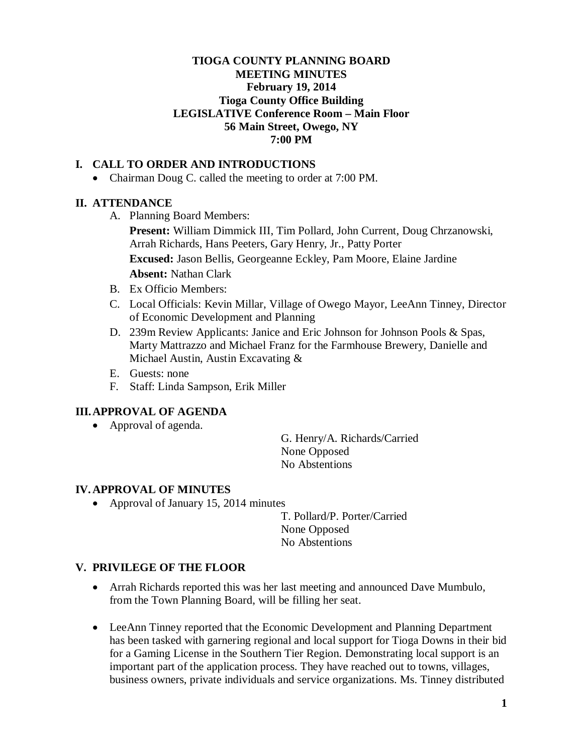# **TIOGA COUNTY PLANNING BOARD MEETING MINUTES February 19, 2014 Tioga County Office Building LEGISLATIVE Conference Room – Main Floor 56 Main Street, Owego, NY 7:00 PM**

# **I. CALL TO ORDER AND INTRODUCTIONS**

• Chairman Doug C. called the meeting to order at 7:00 PM.

## **II. ATTENDANCE**

A. Planning Board Members:

**Present:** William Dimmick III, Tim Pollard, John Current, Doug Chrzanowski, Arrah Richards, Hans Peeters, Gary Henry, Jr., Patty Porter **Excused:** Jason Bellis, Georgeanne Eckley, Pam Moore, Elaine Jardine **Absent:** Nathan Clark

- B. Ex Officio Members:
- C. Local Officials: Kevin Millar, Village of Owego Mayor, LeeAnn Tinney, Director of Economic Development and Planning
- D. 239m Review Applicants: Janice and Eric Johnson for Johnson Pools & Spas, Marty Mattrazzo and Michael Franz for the Farmhouse Brewery, Danielle and Michael Austin, Austin Excavating &
- E. Guests: none
- F. Staff: Linda Sampson, Erik Miller

## **III.APPROVAL OF AGENDA**

• Approval of agenda.

G. Henry/A. Richards/Carried None Opposed No Abstentions

## **IV. APPROVAL OF MINUTES**

• Approval of January 15, 2014 minutes

T. Pollard/P. Porter/Carried None Opposed No Abstentions

## **V. PRIVILEGE OF THE FLOOR**

- Arrah Richards reported this was her last meeting and announced Dave Mumbulo, from the Town Planning Board, will be filling her seat.
- LeeAnn Tinney reported that the Economic Development and Planning Department has been tasked with garnering regional and local support for Tioga Downs in their bid for a Gaming License in the Southern Tier Region. Demonstrating local support is an important part of the application process. They have reached out to towns, villages, business owners, private individuals and service organizations. Ms. Tinney distributed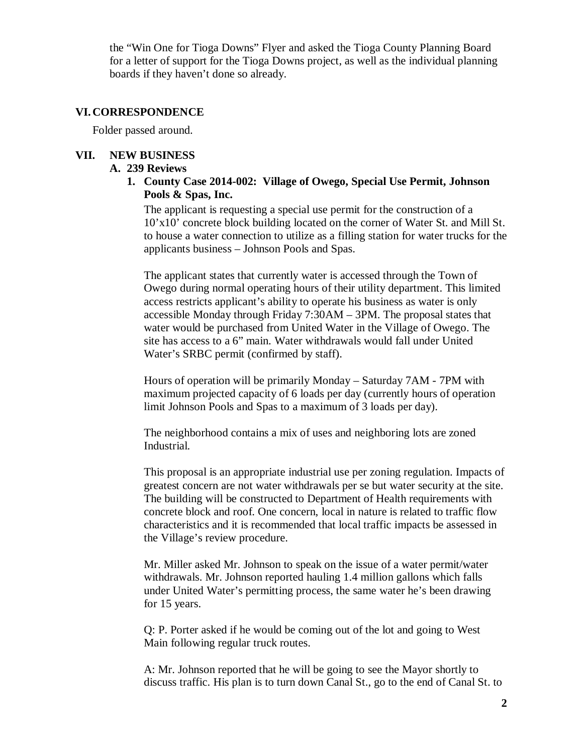the "Win One for Tioga Downs" Flyer and asked the Tioga County Planning Board for a letter of support for the Tioga Downs project, as well as the individual planning boards if they haven't done so already.

### **VI. CORRESPONDENCE**

Folder passed around.

## **VII. NEW BUSINESS**

### **A. 239 Reviews**

**1. County Case 2014-002: Village of Owego, Special Use Permit, Johnson Pools & Spas, Inc.**

The applicant is requesting a special use permit for the construction of a 10'x10' concrete block building located on the corner of Water St. and Mill St. to house a water connection to utilize as a filling station for water trucks for the applicants business – Johnson Pools and Spas.

The applicant states that currently water is accessed through the Town of Owego during normal operating hours of their utility department. This limited access restricts applicant's ability to operate his business as water is only accessible Monday through Friday 7:30AM – 3PM. The proposal states that water would be purchased from United Water in the Village of Owego. The site has access to a 6" main. Water withdrawals would fall under United Water's SRBC permit (confirmed by staff).

Hours of operation will be primarily Monday – Saturday 7AM - 7PM with maximum projected capacity of 6 loads per day (currently hours of operation limit Johnson Pools and Spas to a maximum of 3 loads per day).

The neighborhood contains a mix of uses and neighboring lots are zoned Industrial.

This proposal is an appropriate industrial use per zoning regulation. Impacts of greatest concern are not water withdrawals per se but water security at the site. The building will be constructed to Department of Health requirements with concrete block and roof. One concern, local in nature is related to traffic flow characteristics and it is recommended that local traffic impacts be assessed in the Village's review procedure.

Mr. Miller asked Mr. Johnson to speak on the issue of a water permit/water withdrawals. Mr. Johnson reported hauling 1.4 million gallons which falls under United Water's permitting process, the same water he's been drawing for 15 years.

Q: P. Porter asked if he would be coming out of the lot and going to West Main following regular truck routes.

A: Mr. Johnson reported that he will be going to see the Mayor shortly to discuss traffic. His plan is to turn down Canal St., go to the end of Canal St. to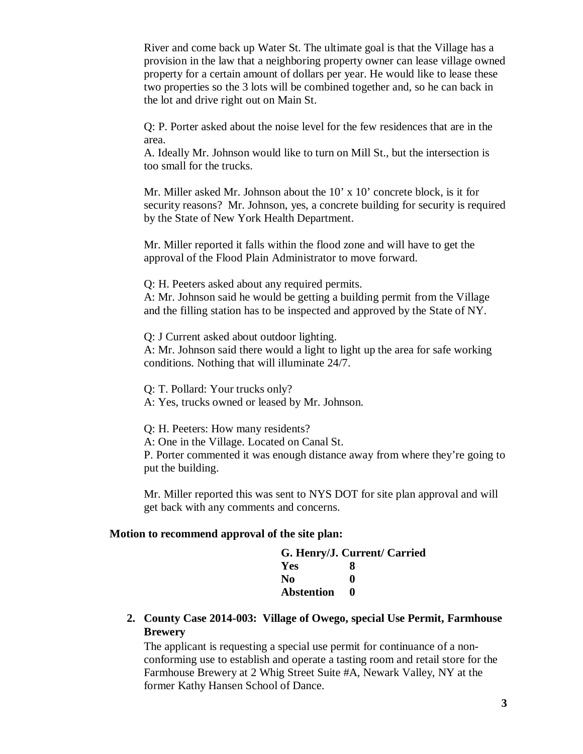River and come back up Water St. The ultimate goal is that the Village has a provision in the law that a neighboring property owner can lease village owned property for a certain amount of dollars per year. He would like to lease these two properties so the 3 lots will be combined together and, so he can back in the lot and drive right out on Main St.

Q: P. Porter asked about the noise level for the few residences that are in the area.

A. Ideally Mr. Johnson would like to turn on Mill St., but the intersection is too small for the trucks.

Mr. Miller asked Mr. Johnson about the 10' x 10' concrete block, is it for security reasons? Mr. Johnson, yes, a concrete building for security is required by the State of New York Health Department.

Mr. Miller reported it falls within the flood zone and will have to get the approval of the Flood Plain Administrator to move forward.

Q: H. Peeters asked about any required permits.

A: Mr. Johnson said he would be getting a building permit from the Village and the filling station has to be inspected and approved by the State of NY.

Q: J Current asked about outdoor lighting.

A: Mr. Johnson said there would a light to light up the area for safe working conditions. Nothing that will illuminate 24/7.

Q: T. Pollard: Your trucks only?

A: Yes, trucks owned or leased by Mr. Johnson.

Q: H. Peeters: How many residents?

A: One in the Village. Located on Canal St.

P. Porter commented it was enough distance away from where they're going to put the building.

Mr. Miller reported this was sent to NYS DOT for site plan approval and will get back with any comments and concerns.

### **Motion to recommend approval of the site plan:**

| G. Henry/J. Current/ Carried |  |
|------------------------------|--|
| x                            |  |
| o                            |  |
|                              |  |
|                              |  |

**2. County Case 2014-003: Village of Owego, special Use Permit, Farmhouse Brewery**

The applicant is requesting a special use permit for continuance of a nonconforming use to establish and operate a tasting room and retail store for the Farmhouse Brewery at 2 Whig Street Suite #A, Newark Valley, NY at the former Kathy Hansen School of Dance.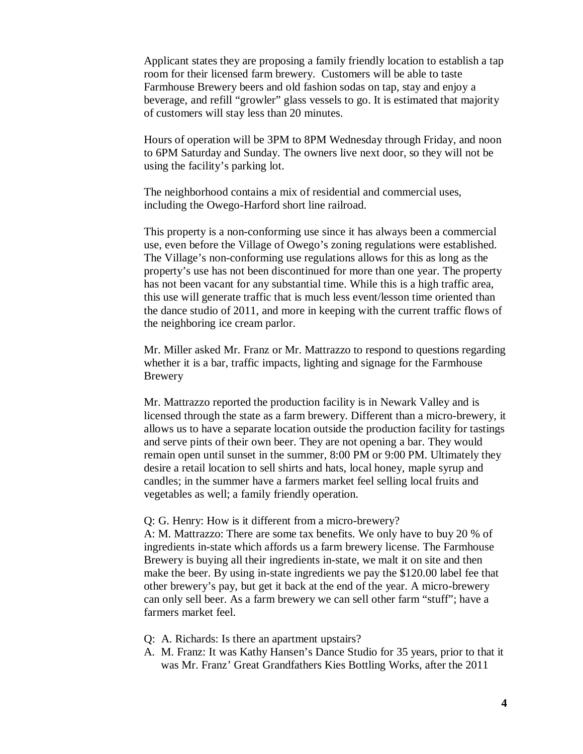Applicant states they are proposing a family friendly location to establish a tap room for their licensed farm brewery. Customers will be able to taste Farmhouse Brewery beers and old fashion sodas on tap, stay and enjoy a beverage, and refill "growler" glass vessels to go. It is estimated that majority of customers will stay less than 20 minutes.

Hours of operation will be 3PM to 8PM Wednesday through Friday, and noon to 6PM Saturday and Sunday. The owners live next door, so they will not be using the facility's parking lot.

The neighborhood contains a mix of residential and commercial uses, including the Owego-Harford short line railroad.

This property is a non-conforming use since it has always been a commercial use, even before the Village of Owego's zoning regulations were established. The Village's non-conforming use regulations allows for this as long as the property's use has not been discontinued for more than one year. The property has not been vacant for any substantial time. While this is a high traffic area, this use will generate traffic that is much less event/lesson time oriented than the dance studio of 2011, and more in keeping with the current traffic flows of the neighboring ice cream parlor.

Mr. Miller asked Mr. Franz or Mr. Mattrazzo to respond to questions regarding whether it is a bar, traffic impacts, lighting and signage for the Farmhouse Brewery

Mr. Mattrazzo reported the production facility is in Newark Valley and is licensed through the state as a farm brewery. Different than a micro-brewery, it allows us to have a separate location outside the production facility for tastings and serve pints of their own beer. They are not opening a bar. They would remain open until sunset in the summer, 8:00 PM or 9:00 PM. Ultimately they desire a retail location to sell shirts and hats, local honey, maple syrup and candles; in the summer have a farmers market feel selling local fruits and vegetables as well; a family friendly operation.

#### Q: G. Henry: How is it different from a micro-brewery?

A: M. Mattrazzo: There are some tax benefits. We only have to buy 20 % of ingredients in-state which affords us a farm brewery license. The Farmhouse Brewery is buying all their ingredients in-state, we malt it on site and then make the beer. By using in-state ingredients we pay the \$120.00 label fee that other brewery's pay, but get it back at the end of the year. A micro-brewery can only sell beer. As a farm brewery we can sell other farm "stuff"; have a farmers market feel.

- Q: A. Richards: Is there an apartment upstairs?
- A. M. Franz: It was Kathy Hansen's Dance Studio for 35 years, prior to that it was Mr. Franz' Great Grandfathers Kies Bottling Works, after the 2011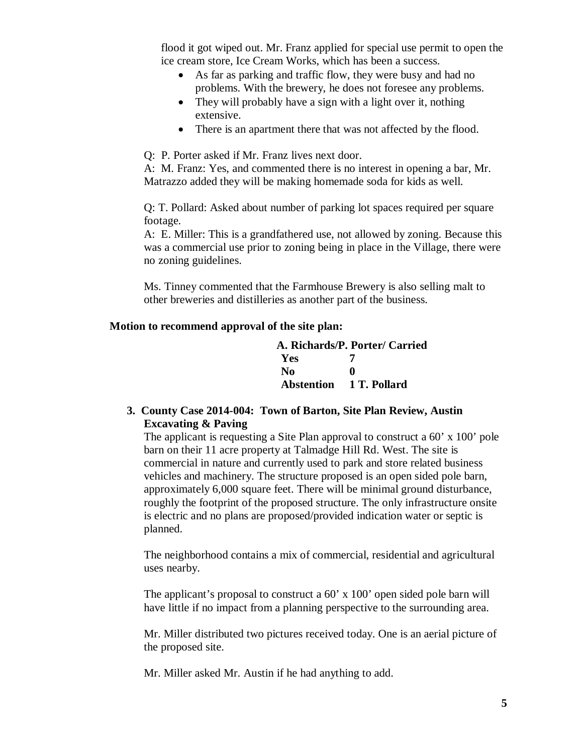flood it got wiped out. Mr. Franz applied for special use permit to open the ice cream store, Ice Cream Works, which has been a success.

- As far as parking and traffic flow, they were busy and had no problems. With the brewery, he does not foresee any problems.
- They will probably have a sign with a light over it, nothing extensive.
- There is an apartment there that was not affected by the flood.

Q: P. Porter asked if Mr. Franz lives next door.

A: M. Franz: Yes, and commented there is no interest in opening a bar, Mr. Matrazzo added they will be making homemade soda for kids as well.

Q: T. Pollard: Asked about number of parking lot spaces required per square footage.

A: E. Miller: This is a grandfathered use, not allowed by zoning. Because this was a commercial use prior to zoning being in place in the Village, there were no zoning guidelines.

Ms. Tinney commented that the Farmhouse Brewery is also selling malt to other breweries and distilleries as another part of the business.

## **Motion to recommend approval of the site plan:**

|            | A. Richards/P. Porter/ Carried |
|------------|--------------------------------|
| <b>Yes</b> |                                |
| No         | o                              |
|            | Abstention 1 T. Pollard        |

# **3. County Case 2014-004: Town of Barton, Site Plan Review, Austin Excavating & Paving**

The applicant is requesting a Site Plan approval to construct a 60' x 100' pole barn on their 11 acre property at Talmadge Hill Rd. West. The site is commercial in nature and currently used to park and store related business vehicles and machinery. The structure proposed is an open sided pole barn, approximately 6,000 square feet. There will be minimal ground disturbance, roughly the footprint of the proposed structure. The only infrastructure onsite is electric and no plans are proposed/provided indication water or septic is planned.

The neighborhood contains a mix of commercial, residential and agricultural uses nearby.

The applicant's proposal to construct a 60' x 100' open sided pole barn will have little if no impact from a planning perspective to the surrounding area.

Mr. Miller distributed two pictures received today. One is an aerial picture of the proposed site.

Mr. Miller asked Mr. Austin if he had anything to add.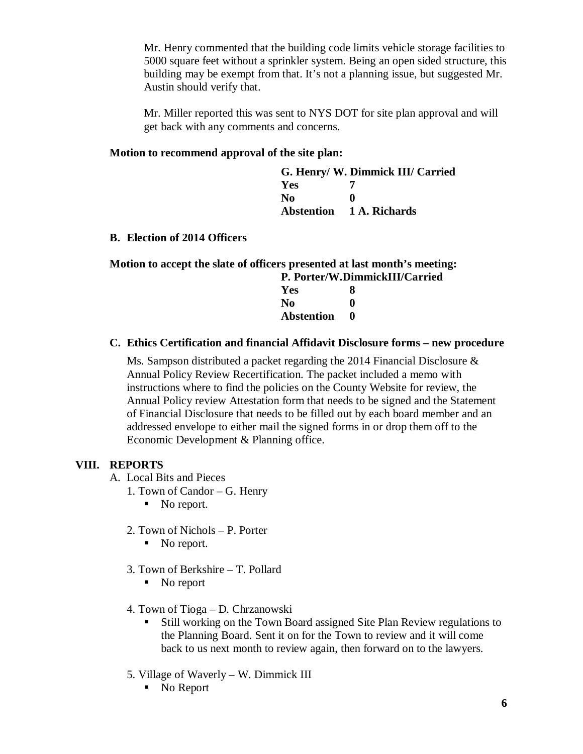Mr. Henry commented that the building code limits vehicle storage facilities to 5000 square feet without a sprinkler system. Being an open sided structure, this building may be exempt from that. It's not a planning issue, but suggested Mr. Austin should verify that.

Mr. Miller reported this was sent to NYS DOT for site plan approval and will get back with any comments and concerns.

## **Motion to recommend approval of the site plan:**

|                | G. Henry/ W. Dimmick III/ Carried |
|----------------|-----------------------------------|
| <b>Yes</b>     |                                   |
| N <sub>0</sub> | $\bullet$                         |
|                | <b>Abstention</b> 1 A. Richards   |

### **B. Election of 2014 Officers**

|                                | Motion to accept the slate of officers presented at last month's meeting: |  |
|--------------------------------|---------------------------------------------------------------------------|--|
| P. Porter/W.DimmickIII/Carried |                                                                           |  |
| Yes                            |                                                                           |  |
| No                             |                                                                           |  |
| <b>Abstention</b>              | $\mathbf{0}$                                                              |  |
|                                |                                                                           |  |

### **C. Ethics Certification and financial Affidavit Disclosure forms – new procedure**

Ms. Sampson distributed a packet regarding the 2014 Financial Disclosure & Annual Policy Review Recertification. The packet included a memo with instructions where to find the policies on the County Website for review, the Annual Policy review Attestation form that needs to be signed and the Statement of Financial Disclosure that needs to be filled out by each board member and an addressed envelope to either mail the signed forms in or drop them off to the Economic Development & Planning office.

### **VIII. REPORTS**

- A. Local Bits and Pieces
	- 1. Town of Candor G. Henry
		- No report.
	- 2. Town of Nichols P. Porter
		- No report.
	- 3. Town of Berkshire T. Pollard
		- No report
	- 4. Town of Tioga D. Chrzanowski
		- Still working on the Town Board assigned Site Plan Review regulations to the Planning Board. Sent it on for the Town to review and it will come back to us next month to review again, then forward on to the lawyers.
	- 5. Village of Waverly W. Dimmick III
		- No Report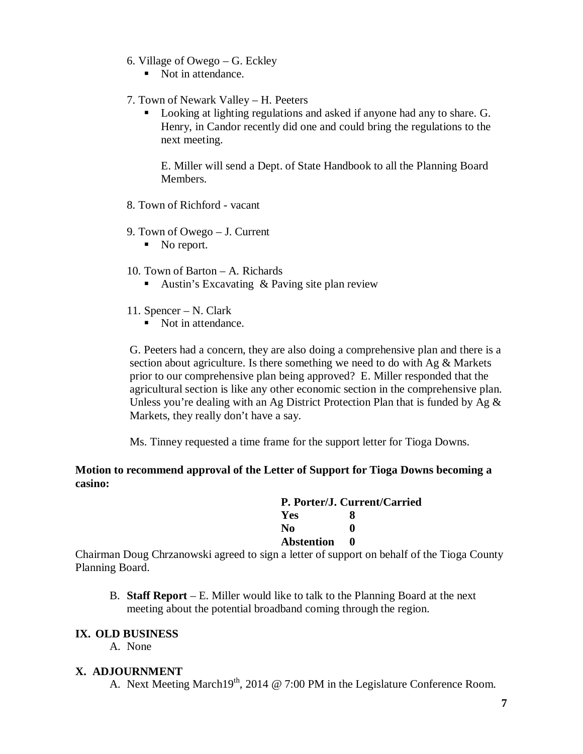- 6. Village of Owego G. Eckley
	- Not in attendance.
- 7. Town of Newark Valley H. Peeters
	- Looking at lighting regulations and asked if anyone had any to share. G. Henry, in Candor recently did one and could bring the regulations to the next meeting.

E. Miller will send a Dept. of State Handbook to all the Planning Board Members.

- 8. Town of Richford vacant
- 9. Town of Owego J. Current
	- No report.
- 10. Town of Barton A. Richards
	- Austin's Excavating & Paving site plan review
- 11. Spencer N. Clark
	- Not in attendance.

G. Peeters had a concern, they are also doing a comprehensive plan and there is a section about agriculture. Is there something we need to do with Ag & Markets prior to our comprehensive plan being approved? E. Miller responded that the agricultural section is like any other economic section in the comprehensive plan. Unless you're dealing with an Ag District Protection Plan that is funded by Ag  $\&$ Markets, they really don't have a say.

Ms. Tinney requested a time frame for the support letter for Tioga Downs.

# **Motion to recommend approval of the Letter of Support for Tioga Downs becoming a casino:**

| P. Porter/J. Current/Carried |   |  |  |
|------------------------------|---|--|--|
| <b>Yes</b>                   | x |  |  |
| N <sub>0</sub>               | 0 |  |  |
| <b>Abstention</b>            | o |  |  |
|                              |   |  |  |

Chairman Doug Chrzanowski agreed to sign a letter of support on behalf of the Tioga County Planning Board.

B. **Staff Report** – E. Miller would like to talk to the Planning Board at the next meeting about the potential broadband coming through the region.

# **IX. OLD BUSINESS**

A. None

## **X. ADJOURNMENT**

A. Next Meeting March19<sup>th</sup>, 2014 @ 7:00 PM in the Legislature Conference Room.